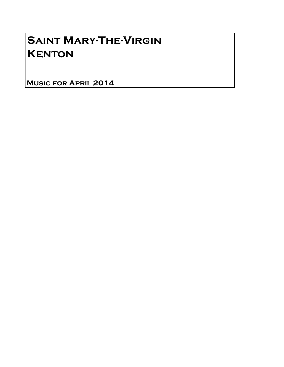## Saint Mary-The-Virgin **KENTON**

Music for April 2014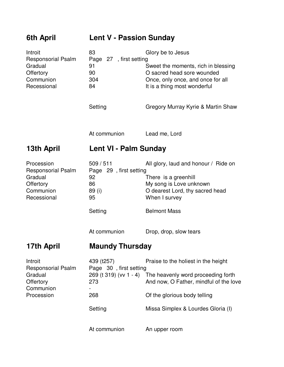| 6th April                                                                                   | <b>Lent V - Passion Sunday</b>                                                          |                                                                                                                                                                                           |
|---------------------------------------------------------------------------------------------|-----------------------------------------------------------------------------------------|-------------------------------------------------------------------------------------------------------------------------------------------------------------------------------------------|
| Introit<br><b>Responsorial Psalm</b><br>Gradual<br>Offertory<br>Communion<br>Recessional    | 83<br>Page 27, first setting<br>91<br>90<br>304<br>84                                   | Glory be to Jesus<br>Sweet the moments, rich in blessing<br>O sacred head sore wounded<br>Once, only once, and once for all<br>It is a thing most wonderful                               |
|                                                                                             | Setting                                                                                 | Gregory Murray Kyrie & Martin Shaw                                                                                                                                                        |
|                                                                                             | At communion                                                                            | Lead me, Lord                                                                                                                                                                             |
| 13th April                                                                                  | Lent VI - Palm Sunday                                                                   |                                                                                                                                                                                           |
| Procession<br><b>Responsorial Psalm</b><br>Gradual<br>Offertory<br>Communion<br>Recessional | 509/511<br>Page 29, first setting<br>92<br>86<br>89 (i)<br>95<br>Setting                | All glory, laud and honour / Ride on<br>There is a greenhill<br>My song is Love unknown<br>O dearest Lord, thy sacred head<br>When I survey<br><b>Belmont Mass</b>                        |
|                                                                                             | At communion                                                                            | Drop, drop, slow tears                                                                                                                                                                    |
| <b>Maundy Thursday</b><br>17th April                                                        |                                                                                         |                                                                                                                                                                                           |
| Introit<br><b>Responsorial Psalm</b><br>Gradual<br>Offertory<br>Communion<br>Procession     | 439 (t257)<br>Page 30, first setting<br>269 (t 319) (vv 1 - 4)<br>273<br>268<br>Setting | Praise to the holiest in the height<br>The heavenly word proceeding forth<br>And now, O Father, mindful of the love<br>Of the glorious body telling<br>Missa Simplex & Lourdes Gloria (I) |
|                                                                                             | At communion                                                                            | An upper room                                                                                                                                                                             |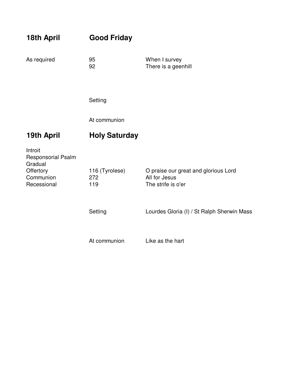| 18th April                                                                        | <b>Good Friday</b>           |                                                                             |
|-----------------------------------------------------------------------------------|------------------------------|-----------------------------------------------------------------------------|
| As required                                                                       | 95<br>92                     | When I survey<br>There is a geenhill                                        |
|                                                                                   | Setting                      |                                                                             |
|                                                                                   | At communion                 |                                                                             |
| 19th April                                                                        | <b>Holy Saturday</b>         |                                                                             |
| Introit<br>Responsorial Psalm<br>Gradual<br>Offertory<br>Communion<br>Recessional | 116 (Tyrolese)<br>272<br>119 | O praise our great and glorious Lord<br>All for Jesus<br>The strife is o'er |
|                                                                                   | Setting                      | Lourdes Gloria (I) / St Ralph Sherwin Mass                                  |
|                                                                                   | At communion                 | Like as the hart                                                            |